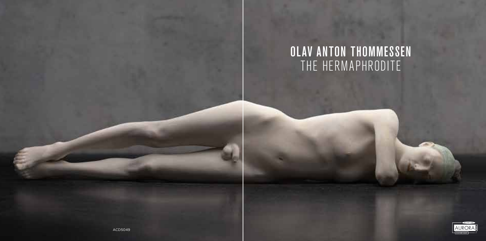# OLAV ANTON THOMMESSEN THE HERMAPHRODITE

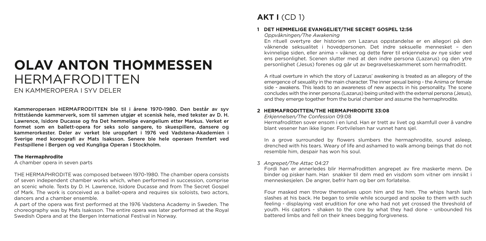# **OLAV ANTON THOMMESSEN** HERMAFRODITTEN

EN KAMMEROPERA I SYV DELER

Kammeroperaen HERMAFRODITTEN ble til i årene 1970-1980. Den består av syv frittstående kammerverk, som til sammen utgjør et scenisk hele, med tekster av D. H. Lawrence, Isidore Ducasse og fra Det hemmelige evangelium etter Markus. Verket er formet som en ballett-opera for seks solo sangere, to skuespillere, dansere og kammerorkester. Deler av verket ble uroppført i 1976 ved Vadstena-Akademien i Sverige med koreografi av Mats Isaksson. Senere ble hele operaen fremført ved Festspillene i Bergen og ved Kungliga Operan i Stockholm.

#### **The Hermaphrodite**

A chamber opera in seven parts

THE HERMAPHRODITE was composed between 1970-1980. The chamber opera consists of seven independent chamber works which, when performed in succession, comprise an scenic whole. Texts by D. H. Lawrence, Isidore Ducasse and from The Secret Gospel of Mark. The work is conceived as a ballet-opera and requires six soloists, two actors, dancers and a chamber ensemble.

A part of the opera was first performed at the 1976 Vadstena Academy in Sweden. The choreography was by Mats Isaksson. The entire opera was later performed at the Royal Swedish Opera and at the Bergen International Festival in Norway.

# **AKT I (CD 1)**

# **1 DET HEMMELIGE EVANGELIET/THE SECRET GOSPEL 12:56**

#### *Oppvåkningen/The Awakening*

En rituell overtyre der historien om Lazarus oppstandelse er en allegori på den våknende seksualitet i hovedpersonen. Det indre seksuelle mennesket – den kvinnelige siden, eller anima – våkner, og dette fører til erkjennelse av nye sider ved ens personlighet. Scenen slutter med at den indre persona (Lazarus) og den ytre personlighet (Jesus) forenes og går ut av begravelseskammeret som hermafroditt.

A ritual overture in which the story of Lazarus' awakening is treated as an allegory of the emergence of sexuality in the main character. The inner sexual being - the Anima or female side - awakens. This leads to an awareness of new aspects in his personality. The scene concludes with the inner persona (Lazarus) being united with the external persona (Jesus), and they emerge together from the burial chamber and assume the hermaphrodite.

# **2 HERMAFRODITTEN/THE HERMAPHRODITE 33:08**

*Erkjennelsen/The Confession* 09:08

Hermafroditten sover ensom i en lund. Han er trett av livet og skamfull over å vandre blant vesener han ikke ligner. Fortvilelsen har vunnet hans sjel.

In a grove surrounded by flowers slumbers the hermaphrodite, sound asleep, drenched with his tears. Weary of life and ashamed to walk among beings that do not resemble him, despair has won his soul.

#### 3 *Angrepet/The Attac* 04:27

Fordi han er annerledes blir Hermafroditten angrepet av fire maskerte menn. De binder og pisker ham. Han snakker til dem med en visdom som vitner om innsikt i menneskesjelen. De angrer, befrir ham og ber om forlatelse.

Four masked men throw themselves upon him and tie him. The whips harsh lash slashes at his back. He began to smile while scourged and spoke to them with such feeling - displaying vast erudition for one who had not yet crossed the threshold of youth. His captors - shaken to the core by what they had done - unbounded his battered limbs and fell on their knees begging forgiveness.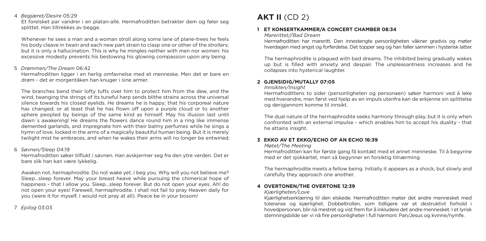#### 4 *Begjæret/Desire* 05:29

Et forelsket par vandrer i en platan-allé. Hermafroditten betrakter dem og føler seg splittet. Han tiltrekkes av begge.

Whenever he sees a man and a woman stroll along some lane of plane-trees he feels his body cleave in twain and each new part strain to clasp one or other of the strollers; but it is only a hallucination. This is why he mingles neither with men nor women: his excessive modesty prevents his bestowing his glowing compassion upon any being.

# 5 *Drømmen/The Dream* 06:42

Hermafroditten ligger i en herlig omfavnelse med et menneske. Men det er bare en drøm - det er morgentåken han knuger i sine armer.

The branches bend their lofty tufts over him to protect him from the dew, and the wind, twanging the strings of its tuneful harp sends blithe strains across the universal silence towards his closed eyelids. He dreams he is happy; that his corporeal nature has changed; or at least that he has flown off upon a purple cloud or to another sphere peopled by beings of the same kind as himself. May his illusion last until dawn´s awakening! He dreams the flowers dance round him in a ring like immense demented garlands, and impregnate him with their balmy perfumes while he sings a hymn of love, locked in the arms of a magically beautiful human being. But it is merely twilight mist he embraces, and when he wakes their arms will no longer be entwined.

# 6 *Søvnen/Sleep* 04:19

Hermafroditten søker tilflukt i søvnen. Han avskjermer seg fra den ytre verden. Det er bare slik han kan være lykkelig.

Awaken not, hermaphrodite. Do not wake yet, I beg you. Why will you not believe me? Sleep...sleep forever. May your breast heave while pursuing the chimerical hope of happiness - that I allow you. Sleep...sleep forever. But do not open your eyes. Ah! do not open your eyes! Farewell, hermaphrodite. I shall not fail to pray Heaven daily for you (were it for myself, I would not pray at all). Peace be in your bosom!

# 7 *Epilog* 03:03

# **AKT II** (CD 2)

# **1 ET KONSERTKAMMER/A CONCERT CHAMBER 08:34**

### *Marerittet//Bad Dream*

Hermafroditten har mareritt. Den innestengte personligheten våkner gradvis og møter hverdagen med angst og forferdelse. Det topper seg og han faller sammen i hysterisk latter.

The hermaphrodite is plagued with bad dreams. The inhibited being gradually wakes up but is filled with anxiety and despair. The unpleasantness increases and he collapses into hysterical laughter.

# **2 GJENSIDIG/MUTALLY 07:05**

#### *Innsikten/Insight*

Hermafrodittens to sider (personligheten og personaen) søker harmoni ved å leke med hverandre, men først ved hjelp av en impuls utenfra kan de erkjenne sin splittelse og derigjennom komme til innsikt.

The dual nature of the hermaphrodite seeks harmony through play, but it is only when confronted with an external impulse - which enables him to accept his duality - that he attains insight.

# **3 EKKO AV ET EKKO/ECHO OF AN ECHO 16:39**

# *Møtet/The Meeting*

Hermafroditten kan for første gang få kontakt med et annet menneske. Til å begynne med er det sjokkartet, men så begynner en forsiktig tilnærming.

The hermaphrodite meets a fellow being. Initially it appears as a shock, but slowly and carefully they approach one another.

# **4 OVERTONEN/THE OVERTONE 12:39**

# *Kjærligheten/Love*

Kjærlighetserklæring til den elskede. Hermafroditten møter det andre mennesket med toleranse og kjærlighet. Dobbeltrollen, som tidligere var et destruktivt forhold i hovedpersonen, blir nå mestret og vist frem for å inkludere det andre mennesket. I et lyrisk stemningsbilde ser vi nå fire personligheter i full harmoni: Pan/Jesus og kvinne/nymfe.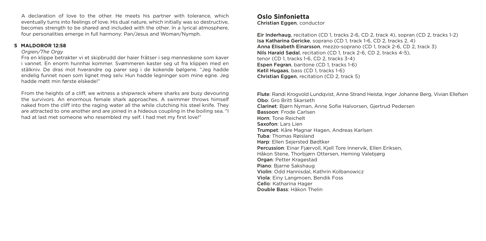A declaration of love to the other. He meets his partner with tolerance, which eventually turns into feelings of love. His dual nature, which initially was so destructive, becomes strength to be shared and included with the other. In a lyrical atmosphere, four personalities emerge in full harmony: Pan/Jesus and Woman/Nymph.

#### **5 MALDOROR 12:58**

#### *Orgien/The Orgy*

Fra en klippe betrakter vi et skipbrudd der haier fråtser i seg menneskene som kaver i vannet. En enorm hunnhai kommer. Svømmeren kaster seg ut fra klippen med en stålkniv. De dras mot hverandre og parer seg i de kokende bølgene. "Jeg hadde endelig funnet noen som lignet meg selv. Hun hadde legninger som mine egne. Jeg hadde møtt min første elskede!"

From the heights of a cliff, we witness a shipwreck where sharks are busy devouring the survivors. An enormous female shark approaches. A swimmer throws himself naked from the cliff into the raging water all the while clutching his steel knife. They are attracted to one another and are joined in a hideous coupling in the boiling sea. "I had at last met someone who resembled my self. I had met my first love!"

# **Oslo Sinfonietta**

Christian Eggen, conductor

Eir Inderhaug, recitation (CD 1, tracks 2-6, CD 2, track 4), sopran (CD 2, tracks 1-2) Isa Katharina Gericke, soprano (CD 1, track 1-6, CD 2, tracks 2, 4) Anna Elisabeth Einarsson, mezzo-soprano (CD 1, track 2-6, CD 2, track 3) Nils Harald Sødal, recitation (CD 1, track 2-6, CD 2, tracks 4-5), tenor (CD 1, tracks 1-6, CD 2, tracks 3-4) Espen Fegran, baritone (CD 1, tracks 1-6) Ketil Hugaas, bass (CD 1, tracks 1-6) Christian Eggen, recitation (CD 2, track 5)

Flute: Randi Krogvold Lundqvist, Anne Strand Heistø, Inger Johanne Berg, Vivian Ellefsen Obo: Gro Britt Skarseth Clarinet: Bjørn Nyman, Anne Sofie Halvorsen, Gjertrud Pedersen Bassoon: Frode Carlsen Horn: Tone Reichelt Saxofon: Lars Lien Trumpet: Kåre Magnar Hagen, Andreas Karlsen Tuba: Thomas Røisland Harp: Ellen Sejersted Bødtker Percussion: Einar Fjærvoll, Kjell Tore Innervik, Ellen Eriksen, Håkon Stene, Thorbjørn Ottersen, Heming Valebjørg Organ: Petter Kragestad Piano: Biarne Sakshaug Violin: Odd Hannisdal, Kathrin Kolbanowicz Viola: Einy Langmoen, Bendik Foss Cello: Katharina Hager Double Bass: Håkon Thelin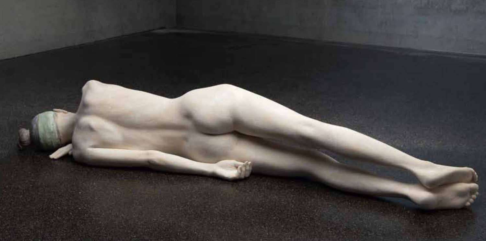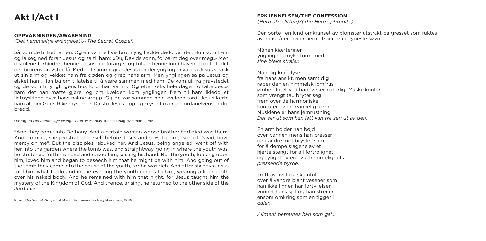# **Akt I/Act I**

#### **OPPVÅKNINGEN/AWAKENING**

*(Det hemmelige evangeliet)/(The Secret Gospel)*

Så kom de til Bethanien. Og en kvinne hvis bror nylig hadde dødd var der. Hun kom frem og la seg ned foran Jesus og sa til ham: «Du, Davids sønn, forbarm deg over meg.» Men disiplene forhindret henne. Jesus ble forarget og fulgte henne inn i haven til det stedet der brorens gravsted lå. Med det samme gikk Jesus inn der ynglingen var og Jesus strakk ut sin arm og vekket ham fra døden og grep hans arm. Men ynglingen så på Jesus og elsket ham. Han ba om tillatelse til å være sammen med ham. De kom ut fra gravstedet og de kom til ynglingens hus fordi han var rik. Og efter seks hele dager fortalte Jesus ham det han måtte gjøre, og om kvelden kom ynglingen frem til ham ikledd et lintøysklede over hans nakne kropp. Og de var sammen hele kvelden fordi Jesus lærte ham alt om Guds Rike mysterier. Da sto Jesus opp og krysset over til Jordanelvens andre bredd.

Utdrag fra *Det hemmelige evangeliet* etter Markus, funnet i Nag Hammadi, 1945.

"And they come into Bethany. And a certain woman whose brother had died was there. And, coming, she prostrated herself before Jesus and says to him, "son of David, have mercy on me". But the disciples rebuked her. And Jesus, being angered, went off with her into the garden where the tomb was, and straightway, going in where the youth was, he stretched forth his hand and raised him, seizing his hand. But the youth, looking upon him, loved him and began to beseech him that he might be with him. And going out of the tomb they came into the house of the youth, for he was rich. And after six days Jesus told him what to do and in the evening the youth comes to him, wearing a linen cloth over his naked body. And he remained with him that night, for Jesus taught him the mystery of the Kingdom of God. And thence, arising, he returned to the other side of the Jordan.»

From *The Secret Gospel* of Mark, discovered in Nag Hammadi, 1945

#### **ERKJENNELSEN/THE CONFESSION**

*(Hermafroditten)/(The Hermaphrodite)*

Der borte i en lund omkranset av blomster utstrakt på gresset som fuktes av hans tårer, hviler hermafroditten i dypeste søvn.

Månen kjærtegner ynglingens myke form med *sine bleke stråler.*

Mannlig kraft lyser fra hans ansikt, men samtidig røper den en himmelsk jomfrus ømhet. Intet ved ham virker naturlig. Muskelknuter som vrengt tau bryter seg frem over de harmoniske konturer av en kvinnelig form. Musklene er hans jernrustning. *Det ser ut som han lett kan tre seg ut av den.*

En arm holder han bøjd over pannen mens han presser den andre mot brystet som for å dempe slagene av et hierte stengt for all fortrolighet og tynget av en evig hemmelighets *pressende byrde.*

Trett av livet og skamfull over å vandre blant vesener som han ikke ligner, har fortvilelsen vunnet hans sjel og han streifer ensom omkring som en tigger i *dalen.*

*Allment betraktes han som gal...*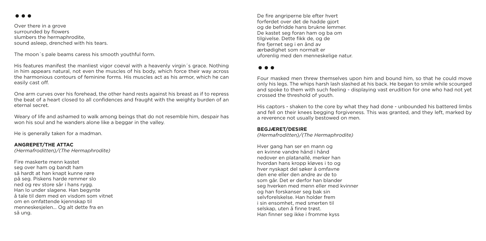# •••

Over there in a grove surrounded by flowers slumbers the hermaphrodite, sound asleep, drenched with his tears.

The moon´s pale beams caress his smooth youthful form.

His features manifest the manliest vigor coeval with a heavenly virgin´s grace. Nothing in him appears natural, not even the muscles of his body, which force their way across the harmonious contours of feminine forms. His muscles act as his armor, which he can easily cast off.

One arm curves over his forehead, the other hand rests against his breast as if to repress the beat of a heart closed to all confidences and fraught with the weighty burden of an eternal secret.

Weary of life and ashamed to walk among beings that do not resemble him, despair has won his soul and he wanders alone like a beggar in the valley.

He is generally taken for a madman.

#### **ANGREPET/THE ATTAC**

*(Hermafroditten)/(The Hermaphrodite)*

Fire maskerte menn kastet seg over ham og bandt ham så hardt at han knapt kunne røre på seg. Piskens harde remmer slo ned og rev store sår i hans rygg. Han lo under slagene. Han begynte å tale til dem med en visdom som vitnet om en omfattende kjennskap til menneskesjelen... Og alt dette fra en så ung.

De fire angriperne ble efter hvert forferdet over det de hadde gjort og de befridde hans brukne lemmer. De kastet seg foran ham og ba om tilgivelse. Dette fikk de, og de fire fjernet seg i en ånd av ærbødighet som normalt er uforenlig med den menneskelige natur.

•••

Four masked men threw themselves upon him and bound him, so that he could move only his legs. The whips harsh lash slashed at his back. He began to smile while scourged and spoke to them with such feeling - displaying vast erudition for one who had not yet crossed the threshold of youth.

His captors - shaken to the core by what they had done - unbounded his battered limbs and fell on their knees begging forgiveness. This was granted, and they left, marked by a reverence not usually bestowed on men.

#### **BEGJÆRET/DESIRE**

*(Hermafroditten)/(The Hermaphrodite)*

Hver gang han ser en mann og en kvinne vandre hånd i hånd nedover en platanallé, merker han hvordan hans kropp kløves i to og hver nyskapt del søker å omfavne den ene eller den andre av de to som går. Det er derfor han blander seg hverken med menn eller med kvinner og han forskanser seg bak sin selvforelskelse. Han holder frem i sin ensomhet, med smerten til selskap, uten å finne trøst. Han finner seg ikke i fromme kyss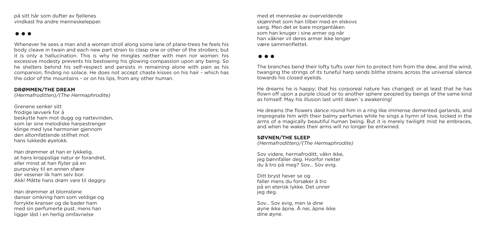på sitt hår som dufter av fjellenes vindkast fra andre menneskelepper.

#### •••

Whenever he sees a man and a woman stroll along some lane of plane-trees he feels his body cleave in twain and each new part strain to clasp one or other of the strollers; but it is only a hallucination. This is why he mingles neither with men nor women: his excessive modesty prevents his bestowing his glowing compassion upon any being. So he shelters behind his self-respect and persists in remaining alone with pain as his companion, finding no solace. He does not accept chaste kisses on his hair - which has the odor of the mountains - or on his lips, from any other human.

#### **DRØMMEN/THE DREAM**

*(Hermafroditten)/(The Hermaphrodite)*

Grenene senker sitt frodige løvverk for å beskytte ham mot dugg og nattevinden, som lar sine melodiske harpestrenger klinge med lyse harmonier gjennom den altomfattende stillhet mot hans lukkede øyelokk.

Han drømmer at han er lykkelig, at hans kroppslige natur er forandret eller minst at han flyter på en purpursky til en annen sfære der vesener lik ham selv bor. Akk! Måtte hans drøm vare til daggry.

Han drømmer at blomstene danser omkring ham som veldige og forrykte kranser og de bader ham med sin perfumerte pust, mens han ligger låst i en herlig omfavnelse

med et menneske av overveldende skjønnhet som han tilber med en elskovs sang. Men det er bare morgentåken som han knuger i sine armer og når han våkner vil deres armer ikke lenger være sammenflettet.

# •••

The branches bend their lofty tufts over him to protect him from the dew, and the wind, twanging the strings of its tuneful harp sends blithe strains across the universal silence towards his closed eyelids.

He dreams he is happy; that his corporeal nature has changed; or at least that he has flown off upon a purple cloud or to another sphere peopled by beings of the same kind as himself. May his illusion last until dawn´s awakening!

He dreams the flowers dance round him in a ring like immense demented garlands, and impregnate him with their balmy perfumes while he sings a hymn of love, locked in the arms of a magically beautiful human being. But it is merely twilight mist he embraces, and when he wakes their arms will no longer be entwined.

# **SØVNEN/THE SLEEP**

*(Hermafroditten)/(The Hermaphrodite)*

Sov videre, hermafroditt, våkn ikke jeg bønnfaller deg. Hvorfor nekter du å tro på meg? Sov... Sov evig.

Ditt bryst hever se og faller mens du forsøker å tro på en eterisk lykke. Det unner jeg deg.

Sov... Sov evig, men la dine øyne ikke åpne. Å nei, åpne ikke dine øyne.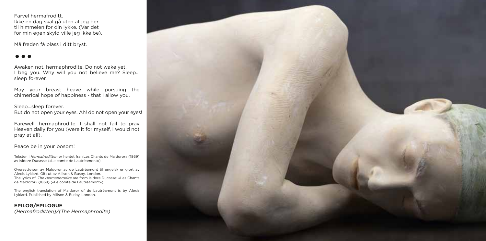Farvel hermafroditt. Ikke en dag skal gå uten at jeg ber til himmelen for din lykke. (Var det for min egen skyld ville jeg ikke be).

Må freden få plass i ditt bryst.

# •••

Awaken not, hermaphrodite. Do not wake yet, I beg you. Why will you not believe me? Sleep... sleep forever.

May your breast heave while pursuing the chimerical hope of happiness - that I allow you.

Sleep...sleep forever. But do not open your eyes. Ah! do not open your eyes!

Farewell, hermaphrodite. I shall not fail to pray Heaven daily for you (were it for myself, I would not pray at all).

Peace be in your bosom!

Teksten i *Hermafroditten* er hentet fra «Les Chants de Maldoror» (1869) av Isidore Ducasse («Le comte de Lautréamont»).

Oversettelsen av Maldoror av de Lautréamont til engelsk er gjort av Alexis Lykiard. Gitt ut av Allison & Busby, London. The lyrics of *The Hermaphrodite* are from Isidore Ducasse: «Les Chants de Maldoror» (1869) («Le comte de Lautréamont»).

The english translation of Maldoror of de Lautréamont is by Alexis Lykiard. Published by Allison & Busby, London.

**EPILOG/EPILOGUE** *(Hermafroditten)/(The Hermaphrodite)*

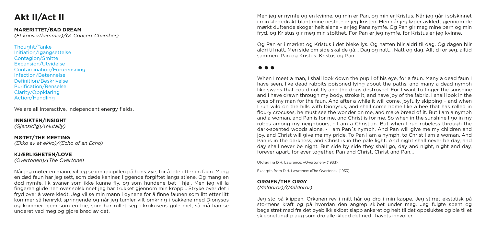# **Akt II/Act II**

# **MARERITTET/BAD DREAM**

*(Et konsertkammer)/(A Concert Chamber)*

Thought/Tanke Initiation/Igangsettelse Contagion/Smitte Expansion/Utvidelse Contamination/Forurensning Infection/Betennelse Definition/Beskrivelse Purification/Renselse Clarity/Oppklaring Action/Handling

We are all interactive, independent energy fields.

**INNSIKTEN/INSIGHT** *(Gjensidig)/(Mutally)*

**MØTET/THE MEETING** *(Ekko av et ekko)/(Echo of an Echo)*

# **KJÆRLIGHETEN/LOVE**

*(Overtonen)/(The Overtone)*

Når jeg møter en mann, vil jeg se inn i pupillen på hans øye, for å lete etter en faun. Mang en død faun har jeg sett, som døde kaniner, liggende forgiftet langs stiene. Og mang en død nymfe, lik svaner som ikke kunne fly, og som hundene bet i hjel. Men jeg vil la fingeren glide hen over solskinnet jeg har trukket gjennom min kropp… Stryke over det i fryd over å være kledt. Jeg vil se min mann i øynene for å finne faunen som litt etter litt kommer så henrykt springende og når jeg tumler vilt omkring i bakkene med Dionysos og kommer hjem som en bie, som har rullet seg i krokusens gule mel, så må han se underet ved meg og gjøre brød av det.

Men jeg er nymfe og en kvinne, og min er Pan, og min er Kristus. Når jeg går i solskinnet i min klededrakt blant mine neste, - er jeg kristen. Men når jeg løper avkledt gjennom de mørkt duftende skoger helt alene – er jeg Pans nymfe. Og Pan gir meg mine barn og min fryd, og Kristus gir meg min stolthet. For Pan er jeg nymfe, for Kristus er jeg kvinne.

Og Pan er i mørket og Kristus i det bleke lys. Og natten blir aldri til dag. Og dagen blir aldri til natt. Men side om side skal de gå… Dag og natt… Natt og dag. Alltid for seg, alltid sammen. Pan og Kristus. Kristus og Pan.

# •••

When I meet a man, I shall look down the pupil of his eye, for a faun. Many a dead faun I have seen, like dead rabbits poisoned lying about the paths, and many a dead nymph like swans that could not fly and the dogs destroyed. For I want to finger the sunshine and I have drawn through my body, stroke it, and have joy of the fabric. I shall look in the eyes of my man for the faun. And after a while it will come, joyfully skipping – and when I run wild on the hills with Dionysus, and shall come home like a bee that has rolled in floury crocuses, he must see the wonder on me, and make bread of it. But I am a nymph and a woman, and Pan is for me, and Christ is for me. So when in the sunshine I go in my robes among my neighbours, - I am a Christian. But when I run robeless through the dark-scented woods alone, - I am Pan´s nymph. And Pan will give me my children and joy, and Christ will give me my pride. To Pan I am a nymph, to Christ I am a woman. And Pan is in the darkness, and Christ is in the pale light. And night shall never be day, and day shall never be night. But side by side they shall go, day and night, night and day, forever apart, for ever together. Pan and Christ, Christ and Pan...

Utdrag fra D.H. Lawrence: «Overtonen» (1933).

Excerpts from D.H. Lawrence: «The Overtone» (1933).

# **ORGIEN/THE ORGY**

*(Maldoror)/(Maldoror)*

Jeg sto på klippen. Orkanen rev i mitt hår og dro i min kappe. Jeg stirret ekstatisk på stormens kraft og på hvordan den angrep skibet under meg. Jeg fulgte spent og begeistret med fra det øyeblikk skibet slapp ankeret og helt til det oppsluktes og ble til et skjebnetungt plagg som dro alle ikledd det ned i havets innvoller.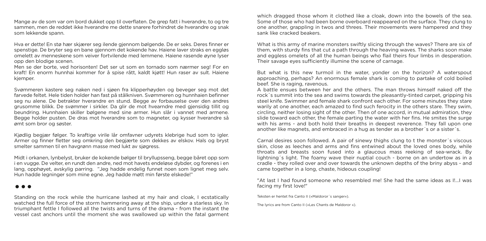Mange av de som var om bord dukket opp til overflaten. De grep fatt i hverandre, to og tre sammen, men de reddet ikke hverandre me dette snarere forhindret de hverandre og snak som lekkende spann.

Hva er dette! En stø hær skjærer seg ilende gjennom bølgende. De er seks. Deres finner er spenstige. De bryter seg en bane gjennom det kokende hav. Haiene laver straks en eggløs omelett av menneskene som veiver fortvilende med lemmene. Haiene rasende øyne lyser opp den blodige scenen.

Men se der borte, ved horisonten! Det ser ut som en tornado som nærmer seg! For en kraft! En enorm hunnhai kommer for å spise rått, kaldt kjøtt! Hun raser av sult. Haiene kjemper.

Svømmeren kastere seg naken ned i sjøen fra klipperhøyden og beveger seg mot det farvede feltet. Hele tiden holder han fast på stålkniven. Svømmeren og hunnhaien befinner seg nu alene. De betrakter hverandre en stund. Begge av forbauselse over den andres grusomme blikk. De svømmer i sirkler. Da glir de mot hvearndre med gjensidig tillit og beundring. Hunnhaien skiller bølgene med sine armer. Hun slår i vannet med armene. Begge holder pusten. De dras mot hverandre som to magneter, og kysser hverandre så ømt som bror og søster.

Kjødlig begjær følger. To kraftige virile lår omfavner udyrets klebrige hud som to igler. Armer og finner fletter seg omkring den begjærte som dekkes av elskov. Hals og bryst smelter sammen til en havgrønn masse med lukt av sjøgress.

Midt i orkanen, lynbelyst, bruker de kokende bølger til bryllupsseng, begge båret opp som i en vugge. De velter, en rundt den andre, ned mot havets endeløse dybder, og forenes i en lang, opphøyet, avskylig parring. "Jeg hadde endelig funnet noen som lignet meg selv. Hun hadde legninger som mine egne. Jeg hadde møtt min første elskede!"

#### •••

Standing on the rock while the hurricane lashed at my hair and cloak, I ecstatically watched the full force of the storm hammering away at the ship, under a starless sky. In triumphant fettle I followed all the twists and turns of the drama - from the instant the vessel cast anchors until the moment she was swallowed up within the fatal garment which dragged those whom it clothed like a cloak, down into the bowels of the sea. Some of those who had been borne overboard reappeared on the surface. They clung to one another, grappling in twos and threes. Their movements were hampered and they sank like cracked beakers.

What is this army of marine monsters swiftly slicing through the waves? There are six of them, with sturdy fins that cut a path through the heaving waves. The sharks soon make and eggless omelets of all the human beings who flail theirs four limbs in desperation. Their savage eyes sufficiently illumine the scene of carnage.

But what is this new turmoil in the water, yonder on the horizon? A waterspout approaching, perhaps? An enormous female shark is coming to partake of cold boiled beef. She is raging, ravenous.

A battle ensues between her and the others. The man throws himself naked off the rock´s summit into the sea and swims towards the pleasantly-tinted carpet, gripping his steel knife. Swimmer and female shark confront each other. For some minutes they stare warily at one another, each amazed to find such ferocity in the others stare. They swim, circling, neither losing sight of the other. Then of one accord, in mutual admiration, they slide toward each other, the female parting the water with her fins. He smites the surge with his arms - and both hold their breaths in deepest reverence. They fall upon one another like magnets, and embraced in a hug as tender as a brother´s or a sister´s.

Carnal desires soon followed. A pair of sinewy thighs clung to t the monster´s viscous skin, close as leeches and arms and fins entwined about the loved ones body, while throats and breasts soon fused into a glaucous mass reeking of sea-wrack. By lightning´s light. The foamy wave their nuptial couch - borne on an undertow as in a cradle - they rolled over and over towards the unknown depths of the briny abyss - and came together in a long, chaste, hideous coupling!

"At last I had found someone who resembled me! She had the same ideas as I'...I was facing my first love!"

Teksten er hentet fra Canto II («Maldoror´s sanger»).

The lyrics are from Canto II («Les Chants de Maldoror »).